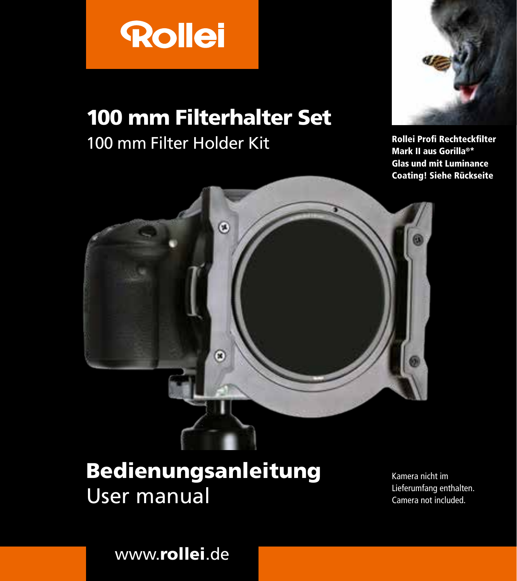

# 100 mm Filterhalter Set

# 100 mm Filter Holder Kit



Rollei Profi Rechteckfilter Mark II aus Gorilla®\* Glas und mit Luminance Coating! Siehe Rückseite



# Bedienungsanleitung User manual

Kamera nicht im Lieferumfang enthalten. Camera not included.

www.rollei.de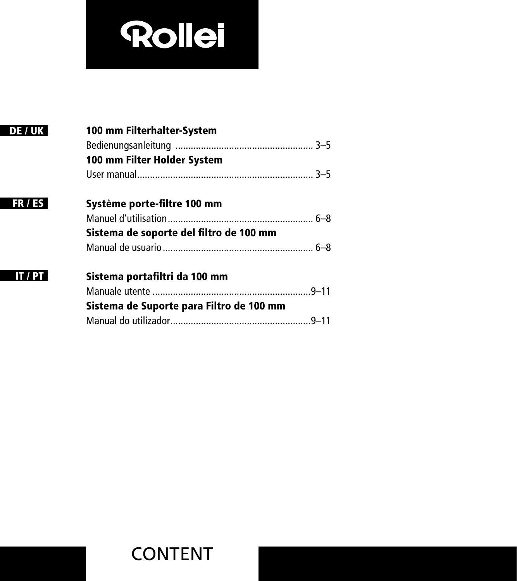# **Rollei**

| DE / UK | 100 mm Filterhalter-System               |
|---------|------------------------------------------|
|         |                                          |
|         | 100 mm Filter Holder System              |
|         |                                          |
| FR / ES | Système porte-filtre 100 mm              |
|         |                                          |
|         | Sistema de soporte del filtro de 100 mm  |
|         |                                          |
| IT/PT   | Sistema portafiltri da 100 mm            |
|         |                                          |
|         | Sistema de Suporte para Filtro de 100 mm |
|         |                                          |
|         |                                          |

Ξ

Ξ

# CONTENT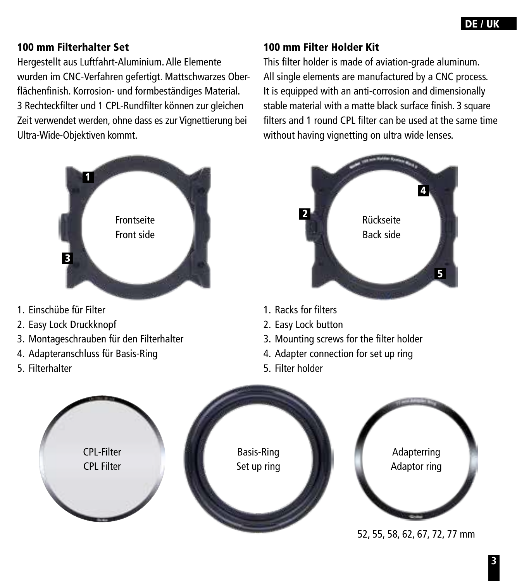#### 100 mm Filterhalter Set

Hergestellt aus Luftfahrt-Aluminium. Alle Elemente wurden im CNC-Verfahren gefertigt. Mattschwarzes Oberflächenfinish. Korrosion- und formbeständiges Material. 3 Rechteckfilter und 1 CPL-Rundfilter können zur gleichen Zeit verwendet werden, ohne dass es zur Vignettierung bei Ultra-Wide-Objektiven kommt.



- 1. Einschübe für Filter
- 2. Easy Lock Druckknopf
- 3. Montageschrauben für den Filterhalter
- 4. Adapteranschluss für Basis-Ring
- 5. Filterhalter

#### 100 mm Filter Holder Kit

This filter holder is made of aviation-grade aluminum. All single elements are manufactured by a CNC process. It is equipped with an anti-corrosion and dimensionally stable material with a matte black surface finish. 3 square filters and 1 round CPL filter can be used at the same time without having vignetting on ultra wide lenses.



- 1. Racks for filters
- 2. Easy Lock button
- 3. Mounting screws for the filter holder
- 4. Adapter connection for set up ring
- 5. Filter holder

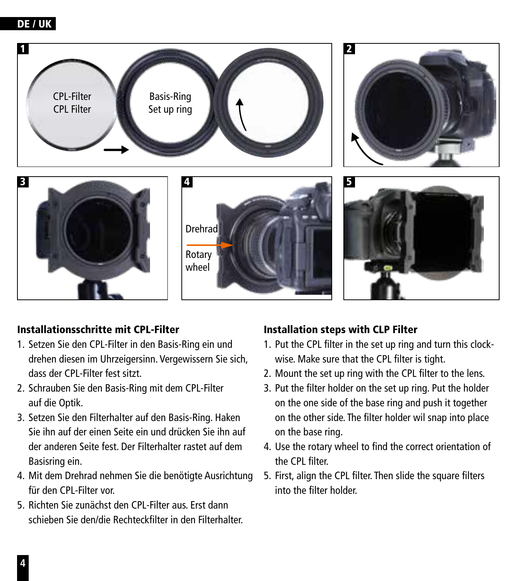#### DE / UK



#### Installationsschritte mit CPL-Filter

- 1. Setzen Sie den CPL-Filter in den Basis-Ring ein und drehen diesen im Uhrzeigersinn. Vergewissern Sie sich, dass der CPL-Filter fest sitzt.
- 2. Schrauben Sie den Basis-Ring mit dem CPL-Filter auf die Optik.
- 3. Setzen Sie den Filterhalter auf den Basis-Ring. Haken Sie ihn auf der einen Seite ein und drücken Sie ihn auf der anderen Seite fest. Der Filterhalter rastet auf dem Basisring ein.
- 4. Mit dem Drehrad nehmen Sie die benötigte Ausrichtung für den CPL-Filter vor.
- 5. Richten Sie zunächst den CPL-Filter aus. Erst dann schieben Sie den/die Rechteckfilter in den Filterhalter.

#### Installation steps with CLP Filter

- 1. Put the CPL filter in the set up ring and turn this clockwise. Make sure that the CPL filter is tight.
- 2. Mount the set up ring with the CPL filter to the lens.
- 3. Put the filter holder on the set up ring. Put the holder on the one side of the base ring and push it together on the other side. The filter holder wil snap into place on the base ring.
- 4. Use the rotary wheel to find the correct orientation of the CPL filter.
- 5. First, align the CPL filter. Then slide the square filters into the filter holder.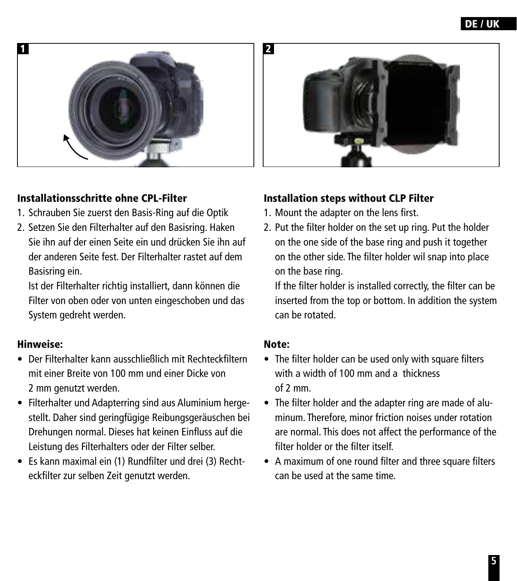## DE / UK



#### Installationsschritte ohne CPL-Filter

- 1. Schrauben Sie zuerst den Basis-Ring auf die Optik
- 2. Setzen Sie den Filterhalter auf den Basisring. Haken Sie ihn auf der einen Seite ein und drücken Sie ihn auf der anderen Seite fest. Der Filterhalter rastet auf dem Basisring ein.

Ist der Filterhalter richtig installiert, dann können die Filter von oben oder von unten eingeschoben und das System gedreht werden.

#### Hinweise:

- Der Filterhalter kann ausschließlich mit Rechteckfiltern mit einer Breite von 100 mm und einer Dicke von 2 mm genutzt werden.
- Filterhalter und Adapterring sind aus Aluminium hergestellt. Daher sind geringfügige Reibungsgeräuschen bei Drehungen normal. Dieses hat keinen Einfluss auf die Leistung des Filterhalters oder der Filter selber.
- Es kann maximal ein (1) Rundfilter und drei (3) Rechteckfilter zur selben Zeit genutzt werden.

#### Installation steps without CLP Filter

- 1. Mount the adapter on the lens first.
- 2. Put the filter holder on the set up ring. Put the holder on the one side of the base ring and push it together on the other side. The filter holder wil snap into place on the base ring.

If the filter holder is installed correctly, the filter can be inserted from the top or bottom. In addition the system can be rotated.

#### Note:

- The filter holder can be used only with square filters with a width of 100 mm and a thickness of 2 mm.
- The filter holder and the adapter ring are made of aluminum. Therefore, minor friction noises under rotation are normal. This does not affect the performance of the filter holder or the filter itself.
- A maximum of one round filter and three square filters can be used at the same time.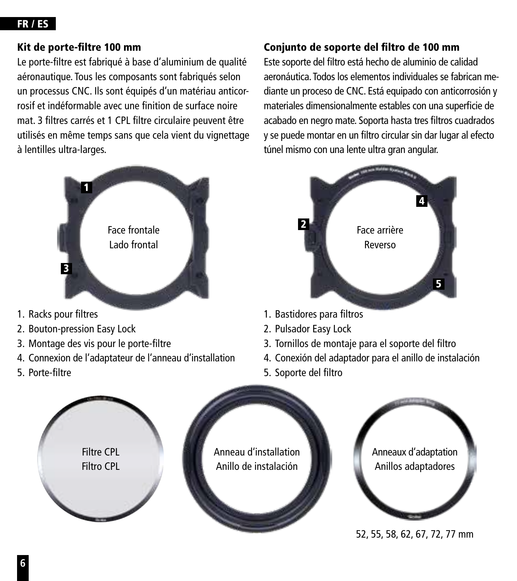#### FR / ES

#### Kit de porte-filtre 100 mm

Le porte-filtre est fabriqué à base d'aluminium de qualité aéronautique. Tous les composants sont fabriqués selon un processus CNC. Ils sont équipés d'un matériau anticorrosif et indéformable avec une finition de surface noire mat. 3 filtres carrés et 1 CPL filtre circulaire peuvent être utilisés en même temps sans que cela vient du vignettage à lentilles ultra-larges.



- 1. Racks pour filtres
- 2. Bouton-pression Easy Lock
- 3. Montage des vis pour le porte-filtre
- 4. Connexion de l'adaptateur de l'anneau d'installation
- 5. Porte-filtre

#### Conjunto de soporte del filtro de 100 mm

Este soporte del filtro está hecho de aluminio de calidad aeronáutica. Todos los elementos individuales se fabrican mediante un proceso de CNC. Está equipado con anticorrosión y materiales dimensionalmente estables con una superficie de acabado en negro mate. Soporta hasta tres filtros cuadrados y se puede montar en un filtro circular sin dar lugar al efecto túnel mismo con una lente ultra gran angular.



- 1. Bastidores para filtros
- 2. Pulsador Easy Lock
- 3. Tornillos de montaje para el soporte del filtro
- 4. Conexión del adaptador para el anillo de instalación
- 5. Soporte del filtro



**6**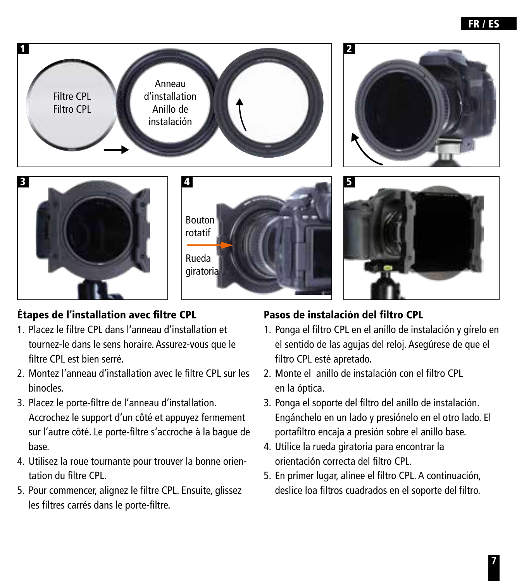

## Étapes de l'installation avec filtre CPL

- 1. Placez le filtre CPL dans l'anneau d'installation et tournez-le dans le sens horaire. Assurez-vous que le filtre CPL est bien serré.
- 2. Montez l'anneau d'installation avec le filtre CPL sur les binocles.
- 3. Placez le porte-filtre de l'anneau d'installation. Accrochez le support d'un côté et appuyez fermement sur l'autre côté. Le porte-filtre s'accroche à la bague de base.
- 4. Utilisez la roue tournante pour trouver la bonne orientation du filtre CPL.
- 5. Pour commencer, alignez le filtre CPL. Ensuite, glissez les filtres carrés dans le porte-filtre.

#### Pasos de instalación del filtro CPL

- 1. Ponga el filtro CPL en el anillo de instalación y gírelo en el sentido de las agujas del reloj. Asegúrese de que el filtro CPL esté apretado.
- 2. Monte el anillo de instalación con el filtro CPL en la óptica.
- 3. Ponga el soporte del filtro del anillo de instalación. Engánchelo en un lado y presiónelo en el otro lado. El portafiltro encaja a presión sobre el anillo base.
- 4. Utilice la rueda giratoria para encontrar la orientación correcta del filtro CPL.
- 5. En primer lugar, alinee el filtro CPL. A continuación, deslice loa filtros cuadrados en el soporte del filtro.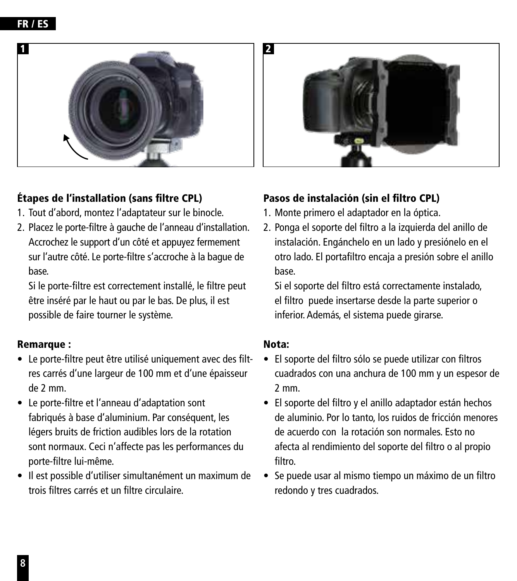

## Étapes de l'installation (sans filtre CPL)

- 1. Tout d'abord, montez l'adaptateur sur le binocle.
- 2. Placez le porte-filtre à gauche de l'anneau d'installation. Accrochez le support d'un côté et appuyez fermement sur l'autre côté. Le porte-filtre s'accroche à la bague de base.

Si le porte-filtre est correctement installé, le filtre peut être inséré par le haut ou par le bas. De plus, il est possible de faire tourner le système.

#### Remarque :

- Le porte-filtre peut être utilisé uniquement avec des filtres carrés d'une largeur de 100 mm et d'une épaisseur de 2 mm.
- Le porte-filtre et l'anneau d'adaptation sont fabriqués à base d'aluminium. Par conséquent, les légers bruits de friction audibles lors de la rotation sont normaux. Ceci n'affecte pas les performances du porte-filtre lui-même.
- Il est possible d'utiliser simultanément un maximum de trois filtres carrés et un filtre circulaire.

## Pasos de instalación (sin el filtro CPL)

- 1. Monte primero el adaptador en la óptica.
- 2. Ponga el soporte del filtro a la izquierda del anillo de instalación. Engánchelo en un lado y presiónelo en el otro lado. El portafiltro encaja a presión sobre el anillo base.

Si el soporte del filtro está correctamente instalado, el filtro puede insertarse desde la parte superior o inferior. Además, el sistema puede girarse.

#### Nota:

- El soporte del filtro sólo se puede utilizar con filtros cuadrados con una anchura de 100 mm y un espesor de 2 mm.
- El soporte del filtro y el anillo adaptador están hechos de aluminio. Por lo tanto, los ruidos de fricción menores de acuerdo con la rotación son normales. Esto no afecta al rendimiento del soporte del filtro o al propio filtro.
- Se puede usar al mismo tiempo un máximo de un filtro redondo y tres cuadrados.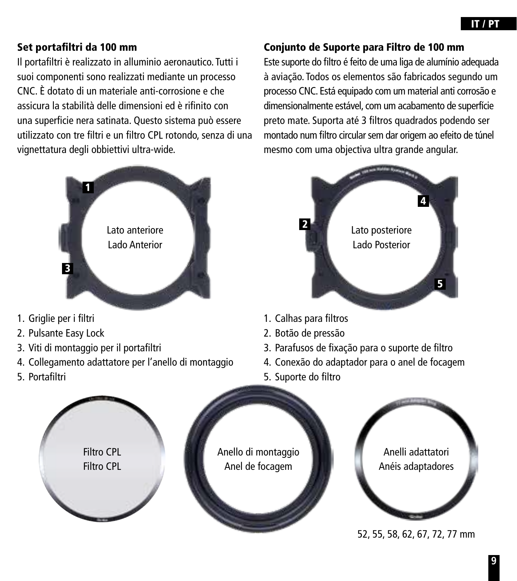#### Set portafiltri da 100 mm

Il portafiltri è realizzato in alluminio aeronautico. Tutti i suoi componenti sono realizzati mediante un processo CNC. È dotato di un materiale anti-corrosione e che assicura la stabilità delle dimensioni ed è rifinito con una superficie nera satinata. Questo sistema può essere utilizzato con tre filtri e un filtro CPL rotondo, senza di una vignettatura degli obbiettivi ultra-wide.



- 1. Griglie per i filtri
- 2. Pulsante Easy Lock
- 3. Viti di montaggio per il portafiltri
- 4. Collegamento adattatore per l'anello di montaggio
- 5. Portafiltri

#### Conjunto de Suporte para Filtro de 100 mm

Este suporte do filtro é feito de uma liga de alumínio adequada à aviação. Todos os elementos são fabricados segundo um processo CNC. Está equipado com um material anti corrosão e dimensionalmente estável, com um acabamento de superfície preto mate. Suporta até 3 filtros quadrados podendo ser montado num filtro circular sem dar origem ao efeito de túnel mesmo com uma objectiva ultra grande angular.



- 1. Calhas para filtros
- 2. Botão de pressão
- 3. Parafusos de fixação para o suporte de filtro
- 4. Conexão do adaptador para o anel de focagem
- 5. Suporte do filtro



52, 55, 58, 62, 67, 72, 77 mm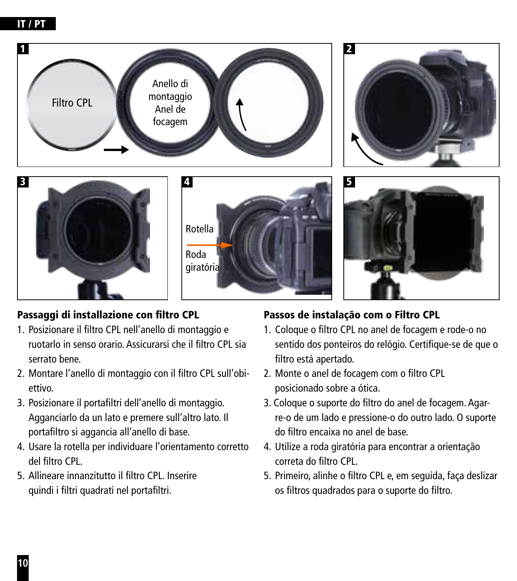#### IT / PT



## Passaggi di installazione con filtro CPL

- 1. Posizionare il filtro CPL nell'anello di montaggio e ruotarlo in senso orario. Assicurarsi che il filtro CPL sia serrato bene.
- 2. Montare l'anello di montaggio con il filtro CPL sull'obiettivo.
- 3. Posizionare il portafiltri dell'anello di montaggio. Agganciarlo da un lato e premere sull'altro lato. Il portafiltro si aggancia all'anello di base.
- 4. Usare la rotella per individuare l'orientamento corretto del filtro CPL.
- 5. Allineare innanzitutto il filtro CPL. Inserire quindi i filtri quadrati nel portafiltri.

## Passos de instalação com o Filtro CPL

- 1. Coloque o filtro CPL no anel de focagem e rode-o no sentido dos ponteiros do relógio. Certifique-se de que o filtro está apertado.
- 2. Monte o anel de focagem com o filtro CPL posicionado sobre a ótica.
- 3. Coloque o suporte do filtro do anel de focagem. Agarre-o de um lado e pressione-o do outro lado. O suporte do filtro encaixa no anel de base.
- 4. Utilize a roda giratória para encontrar a orientação correta do filtro CPL.
- 5. Primeiro, alinhe o filtro CPL e, em seguida, faça deslizar os filtros quadrados para o suporte do filtro.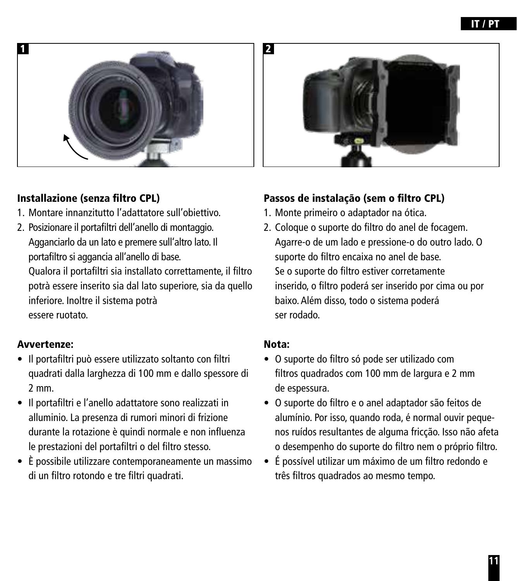

#### Installazione (senza filtro CPL)

- 1. Montare innanzitutto l'adattatore sull'obiettivo.
- 2. Posizionare il portafiltri dell'anello di montaggio. Agganciarlo da un lato e premere sull'altro lato. Il portafiltro si aggancia all'anello di base.

Qualora il portafiltri sia installato correttamente, il filtro potrà essere inserito sia dal lato superiore, sia da quello inferiore. Inoltre il sistema potrà essere ruotato.

#### Avvertenze:

- Il portafiltri può essere utilizzato soltanto con filtri quadrati dalla larghezza di 100 mm e dallo spessore di 2 mm.
- Il portafiltri e l'anello adattatore sono realizzati in alluminio. La presenza di rumori minori di frizione durante la rotazione è quindi normale e non influenza le prestazioni del portafiltri o del filtro stesso.
- È possibile utilizzare contemporaneamente un massimo di un filtro rotondo e tre filtri quadrati.

#### Passos de instalação (sem o filtro CPL)

- 1. Monte primeiro o adaptador na ótica.
- 2. Coloque o suporte do filtro do anel de focagem. Agarre-o de um lado e pressione-o do outro lado. O suporte do filtro encaixa no anel de base. Se o suporte do filtro estiver corretamente inserido, o filtro poderá ser inserido por cima ou por baixo. Além disso, todo o sistema poderá ser rodado.

#### Nota:

- O suporte do filtro só pode ser utilizado com filtros quadrados com 100 mm de largura e 2 mm de espessura.
- O suporte do filtro e o anel adaptador são feitos de alumínio. Por isso, quando roda, é normal ouvir pequenos ruídos resultantes de alguma fricção. Isso não afeta o desempenho do suporte do filtro nem o próprio filtro.
- É possível utilizar um máximo de um filtro redondo e três filtros quadrados ao mesmo tempo.